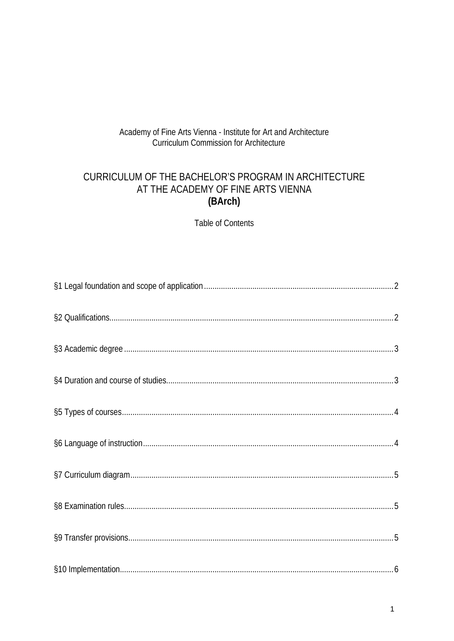# Academy of Fine Arts Vienna - Institute for Art and Architecture **Curriculum Commission for Architecture**

# CURRICULUM OF THE BACHELOR'S PROGRAM IN ARCHITECTURE AT THE ACADEMY OF FINE ARTS VIENNA (BArch)

**Table of Contents**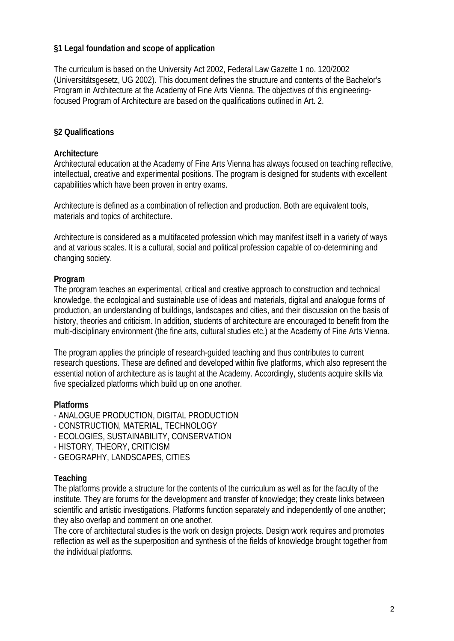### **§1 Legal foundation and scope of application**

The curriculum is based on the University Act 2002, Federal Law Gazette 1 no. 120/2002 (Universitätsgesetz, UG 2002). This document defines the structure and contents of the Bachelor's Program in Architecture at the Academy of Fine Arts Vienna. The objectives of this engineeringfocused Program of Architecture are based on the qualifications outlined in Art. 2.

### **§2 Qualifications**

### **Architecture**

Architectural education at the Academy of Fine Arts Vienna has always focused on teaching reflective, intellectual, creative and experimental positions. The program is designed for students with excellent capabilities which have been proven in entry exams.

Architecture is defined as a combination of reflection and production. Both are equivalent tools, materials and topics of architecture.

Architecture is considered as a multifaceted profession which may manifest itself in a variety of ways and at various scales. It is a cultural, social and political profession capable of co-determining and changing society.

### **Program**

The program teaches an experimental, critical and creative approach to construction and technical knowledge, the ecological and sustainable use of ideas and materials, digital and analogue forms of production, an understanding of buildings, landscapes and cities, and their discussion on the basis of history, theories and criticism. In addition, students of architecture are encouraged to benefit from the multi-disciplinary environment (the fine arts, cultural studies etc.) at the Academy of Fine Arts Vienna.

The program applies the principle of research-guided teaching and thus contributes to current research questions. These are defined and developed within five platforms, which also represent the essential notion of architecture as is taught at the Academy. Accordingly, students acquire skills via five specialized platforms which build up on one another.

### **Platforms**

- ANALOGUE PRODUCTION, DIGITAL PRODUCTION
- CONSTRUCTION, MATERIAL, TECHNOLOGY
- ECOLOGIES, SUSTAINABILITY, CONSERVATION
- HISTORY, THEORY, CRITICISM
- GEOGRAPHY, LANDSCAPES, CITIES

### **Teaching**

The platforms provide a structure for the contents of the curriculum as well as for the faculty of the institute. They are forums for the development and transfer of knowledge; they create links between scientific and artistic investigations. Platforms function separately and independently of one another; they also overlap and comment on one another.

The core of architectural studies is the work on design projects. Design work requires and promotes reflection as well as the superposition and synthesis of the fields of knowledge brought together from the individual platforms.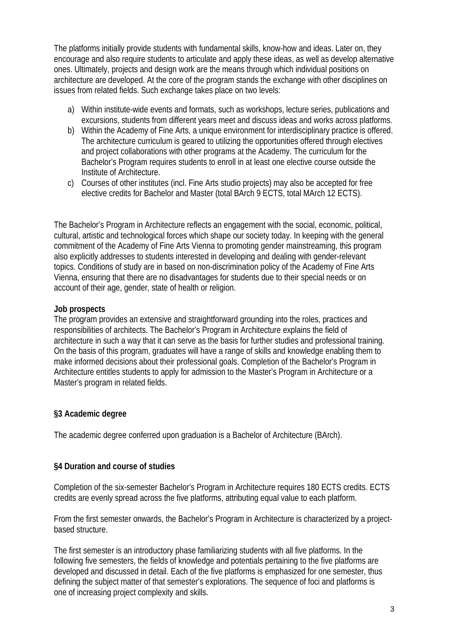The platforms initially provide students with fundamental skills, know-how and ideas. Later on, they encourage and also require students to articulate and apply these ideas, as well as develop alternative ones. Ultimately, projects and design work are the means through which individual positions on architecture are developed. At the core of the program stands the exchange with other disciplines on issues from related fields. Such exchange takes place on two levels:

- a) Within institute-wide events and formats, such as workshops, lecture series, publications and excursions, students from different years meet and discuss ideas and works across platforms.
- b) Within the Academy of Fine Arts, a unique environment for interdisciplinary practice is offered. The architecture curriculum is geared to utilizing the opportunities offered through electives and project collaborations with other programs at the Academy. The curriculum for the Bachelor's Program requires students to enroll in at least one elective course outside the Institute of Architecture.
- c) Courses of other institutes (incl. Fine Arts studio projects) may also be accepted for free elective credits for Bachelor and Master (total BArch 9 ECTS, total MArch 12 ECTS).

The Bachelor's Program in Architecture reflects an engagement with the social, economic, political, cultural, artistic and technological forces which shape our society today. In keeping with the general commitment of the Academy of Fine Arts Vienna to promoting gender mainstreaming, this program also explicitly addresses to students interested in developing and dealing with gender-relevant topics. Conditions of study are in based on non-discrimination policy of the Academy of Fine Arts Vienna, ensuring that there are no disadvantages for students due to their special needs or on account of their age, gender, state of health or religion.

### **Job prospects**

The program provides an extensive and straightforward grounding into the roles, practices and responsibilities of architects. The Bachelor's Program in Architecture explains the field of architecture in such a way that it can serve as the basis for further studies and professional training. On the basis of this program, graduates will have a range of skills and knowledge enabling them to make informed decisions about their professional goals. Completion of the Bachelor's Program in Architecture entitles students to apply for admission to the Master's Program in Architecture or a Master's program in related fields.

# **§3 Academic degree**

The academic degree conferred upon graduation is a Bachelor of Architecture (BArch).

# **§4 Duration and course of studies**

Completion of the six-semester Bachelor's Program in Architecture requires 180 ECTS credits. ECTS credits are evenly spread across the five platforms, attributing equal value to each platform.

From the first semester onwards, the Bachelor's Program in Architecture is characterized by a projectbased structure.

The first semester is an introductory phase familiarizing students with all five platforms. In the following five semesters, the fields of knowledge and potentials pertaining to the five platforms are developed and discussed in detail. Each of the five platforms is emphasized for one semester, thus defining the subject matter of that semester's explorations. The sequence of foci and platforms is one of increasing project complexity and skills.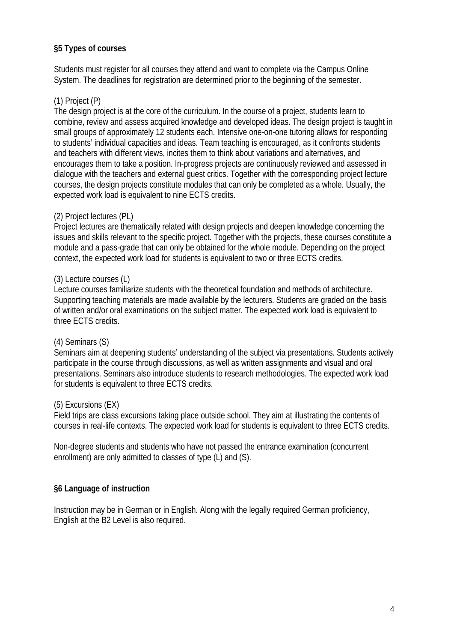### **§5 Types of courses**

Students must register for all courses they attend and want to complete via the Campus Online System. The deadlines for registration are determined prior to the beginning of the semester.

# (1) Project (P)

The design project is at the core of the curriculum. In the course of a project, students learn to combine, review and assess acquired knowledge and developed ideas. The design project is taught in small groups of approximately 12 students each. Intensive one-on-one tutoring allows for responding to students' individual capacities and ideas. Team teaching is encouraged, as it confronts students and teachers with different views, incites them to think about variations and alternatives, and encourages them to take a position. In-progress projects are continuously reviewed and assessed in dialogue with the teachers and external guest critics. Together with the corresponding project lecture courses, the design projects constitute modules that can only be completed as a whole. Usually, the expected work load is equivalent to nine ECTS credits.

# (2) Project lectures (PL)

Project lectures are thematically related with design projects and deepen knowledge concerning the issues and skills relevant to the specific project. Together with the projects, these courses constitute a module and a pass-grade that can only be obtained for the whole module. Depending on the project context, the expected work load for students is equivalent to two or three ECTS credits.

### (3) Lecture courses (L)

Lecture courses familiarize students with the theoretical foundation and methods of architecture. Supporting teaching materials are made available by the lecturers. Students are graded on the basis of written and/or oral examinations on the subject matter. The expected work load is equivalent to three ECTS credits.

### (4) Seminars (S)

Seminars aim at deepening students' understanding of the subject via presentations. Students actively participate in the course through discussions, as well as written assignments and visual and oral presentations. Seminars also introduce students to research methodologies. The expected work load for students is equivalent to three ECTS credits.

### (5) Excursions (EX)

Field trips are class excursions taking place outside school. They aim at illustrating the contents of courses in real-life contexts. The expected work load for students is equivalent to three ECTS credits.

Non-degree students and students who have not passed the entrance examination (concurrent enrollment) are only admitted to classes of type (L) and (S).

# **§6 Language of instruction**

Instruction may be in German or in English. Along with the legally required German proficiency, English at the B2 Level is also required.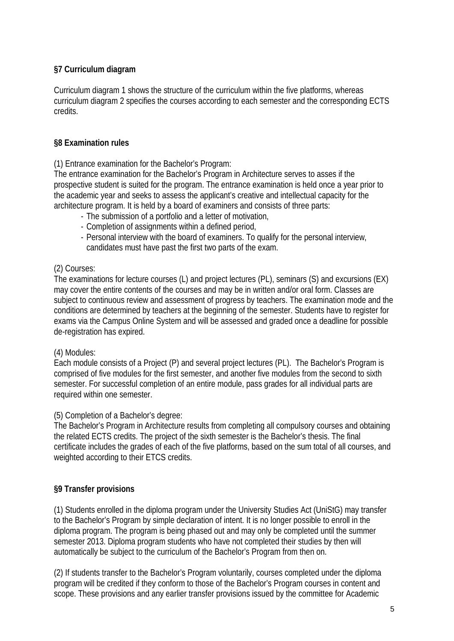# **§7 Curriculum diagram**

Curriculum diagram 1 shows the structure of the curriculum within the five platforms, whereas curriculum diagram 2 specifies the courses according to each semester and the corresponding ECTS credits.

### **§8 Examination rules**

(1) Entrance examination for the Bachelor's Program:

The entrance examination for the Bachelor's Program in Architecture serves to asses if the prospective student is suited for the program. The entrance examination is held once a year prior to the academic year and seeks to assess the applicant's creative and intellectual capacity for the architecture program. It is held by a board of examiners and consists of three parts:

- The submission of a portfolio and a letter of motivation,
- Completion of assignments within a defined period,
- Personal interview with the board of examiners. To qualify for the personal interview,
- candidates must have past the first two parts of the exam.

### (2) Courses:

The examinations for lecture courses (L) and project lectures (PL), seminars (S) and excursions (EX) may cover the entire contents of the courses and may be in written and/or oral form. Classes are subject to continuous review and assessment of progress by teachers. The examination mode and the conditions are determined by teachers at the beginning of the semester. Students have to register for exams via the Campus Online System and will be assessed and graded once a deadline for possible de-registration has expired.

### (4) Modules:

Each module consists of a Project (P) and several project lectures (PL). The Bachelor's Program is comprised of five modules for the first semester, and another five modules from the second to sixth semester. For successful completion of an entire module, pass grades for all individual parts are required within one semester.

### (5) Completion of a Bachelor's degree:

The Bachelor's Program in Architecture results from completing all compulsory courses and obtaining the related ECTS credits. The project of the sixth semester is the Bachelor's thesis. The final certificate includes the grades of each of the five platforms, based on the sum total of all courses, and weighted according to their ETCS credits.

# **§9 Transfer provisions**

(1) Students enrolled in the diploma program under the University Studies Act (UniStG) may transfer to the Bachelor's Program by simple declaration of intent. It is no longer possible to enroll in the diploma program. The program is being phased out and may only be completed until the summer semester 2013. Diploma program students who have not completed their studies by then will automatically be subject to the curriculum of the Bachelor's Program from then on.

(2) If students transfer to the Bachelor's Program voluntarily, courses completed under the diploma program will be credited if they conform to those of the Bachelor's Program courses in content and scope. These provisions and any earlier transfer provisions issued by the committee for Academic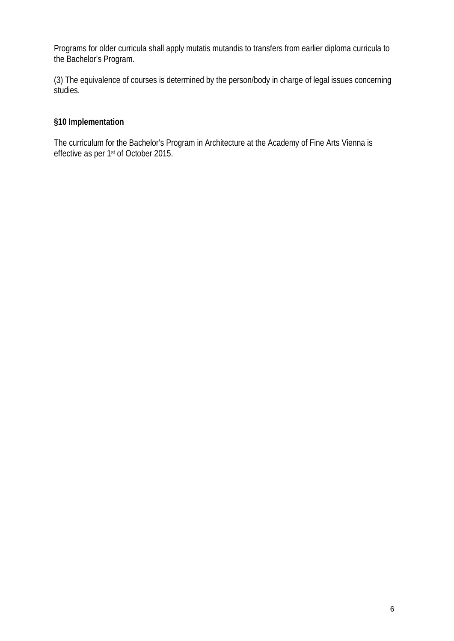Programs for older curricula shall apply mutatis mutandis to transfers from earlier diploma curricula to the Bachelor's Program.

(3) The equivalence of courses is determined by the person/body in charge of legal issues concerning studies.

# **§10 Implementation**

The curriculum for the Bachelor's Program in Architecture at the Academy of Fine Arts Vienna is effective as per 1st of October 2015.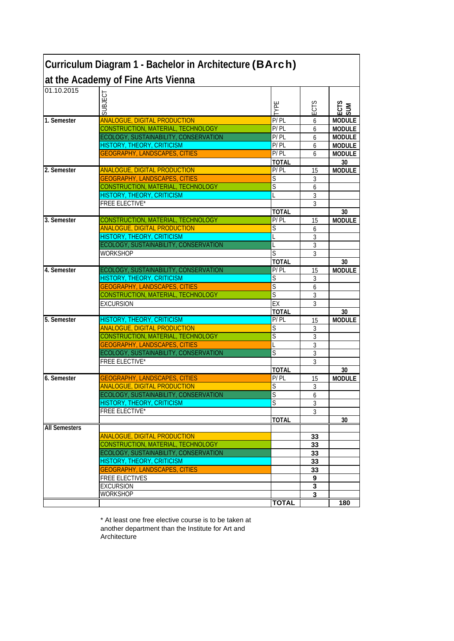|                      | Curriculum Diagram 1 - Bachelor in Architecture (BArch)                  |                         |                         |                     |
|----------------------|--------------------------------------------------------------------------|-------------------------|-------------------------|---------------------|
|                      | at the Academy of Fine Arts Vienna                                       |                         |                         |                     |
| 01.10.2015           |                                                                          |                         |                         |                     |
|                      | SUBJECT                                                                  |                         |                         |                     |
|                      |                                                                          | <b>TARE</b>             | ECTS                    | ECTS<br>SUM         |
| 1. Semester          | <b>ANALOGUE, DIGITAL PRODUCTION</b>                                      | P/PL                    | 6                       | <b>MODULE</b>       |
|                      | CONSTRUCTION, MATERIAL, TECHNOLOGY                                       | P/PL                    | 6                       | <b>MODULE</b>       |
|                      | ECOLOGY, SUSTAINABILITY, CONSERVATION                                    | P/PL                    | 6                       | <b>MODULE</b>       |
|                      | <b>HISTORY, THEORY, CRITICISM</b>                                        | P/PL                    | 6                       | <b>MODULE</b>       |
|                      | <b>GEOGRAPHY, LANDSCAPES, CITIES</b>                                     | P/PL                    | 6                       | <b>MODULE</b>       |
|                      |                                                                          | <b>TOTAL</b>            |                         | 30                  |
| 2. Semester          | <b>ANALOGUE, DIGITAL PRODUCTION</b>                                      | P/PL                    | 15                      | <b>MODULE</b>       |
|                      | <b>GEOGRAPHY, LANDSCAPES, CITIES</b>                                     | S                       | 3                       |                     |
|                      | CONSTRUCTION, MATERIAL, TECHNOLOGY                                       | S                       | 6                       |                     |
|                      | HISTORY, THEORY, CRITICISM                                               |                         | 3                       |                     |
|                      | <b>FREE ELECTIVE*</b>                                                    |                         | 3                       |                     |
|                      |                                                                          | <b>TOTAL</b>            |                         | 30                  |
| 3. Semester          | CONSTRUCTION, MATERIAL, TECHNOLOGY                                       | P/PL                    | 15                      | <b>MODULE</b>       |
|                      | <b>ANALOGUE, DIGITAL PRODUCTION</b>                                      | S                       | 6                       |                     |
|                      | <b>HISTORY, THEORY, CRITICISM</b>                                        |                         | 3                       |                     |
|                      | ECOLOGY, SUSTAINABILITY, CONSERVATION                                    |                         | 3                       |                     |
|                      | <b>WORKSHOP</b>                                                          | $\overline{\mathsf{S}}$ | 3                       |                     |
|                      |                                                                          | <b>TOTAL</b>            |                         | 30                  |
| 4. Semester          | ECOLOGY, SUSTAINABILITY, CONSERVATION                                    | P/PL                    | 15                      | <b>MODULE</b>       |
|                      | <b>HISTORY, THEORY, CRITICISM</b>                                        | S                       | 3                       |                     |
|                      | <b>GEOGRAPHY, LANDSCAPES, CITIES</b>                                     | $\overline{\mathsf{S}}$ | 6                       |                     |
|                      | CONSTRUCTION, MATERIAL, TECHNOLOGY                                       | S                       | 3                       |                     |
|                      | <b>EXCURSION</b>                                                         | EX                      | 3                       |                     |
| 5. Semester          |                                                                          | <b>TOTAL</b>            |                         | 30<br><b>MODULE</b> |
|                      | <b>HISTORY, THEORY, CRITICISM</b><br><b>ANALOGUE, DIGITAL PRODUCTION</b> | P/PL<br>S               | 15                      |                     |
|                      | CONSTRUCTION, MATERIAL, TECHNOLOGY                                       | S                       | 3                       |                     |
|                      | <b>GEOGRAPHY, LANDSCAPES, CITIES</b>                                     |                         | 3<br>3                  |                     |
|                      | ECOLOGY, SUSTAINABILITY, CONSERVATION                                    | S                       | 3                       |                     |
|                      | <b>FREE ELECTIVE*</b>                                                    |                         | 3                       |                     |
|                      |                                                                          | <b>TOTAL</b>            |                         | 30                  |
| 6. Semester          | <b>GEOGRAPHY, LANDSCAPES, CITIES</b>                                     | P/PL                    | 15                      | <b>MODULE</b>       |
|                      | <b>ANALOGUE, DIGITAL PRODUCTION</b>                                      | S                       | 3                       |                     |
|                      | ECOLOGY, SUSTAINABILITY, CONSERVATION                                    | $\overline{\mathsf{s}}$ | 6                       |                     |
|                      | HISTORY, THEORY, CRITICISM                                               | $\overline{\mathsf{S}}$ | 3                       |                     |
|                      | FREE ELECTIVE*                                                           |                         | 3                       |                     |
|                      |                                                                          | <b>TOTAL</b>            |                         | 30                  |
| <b>All Semesters</b> |                                                                          |                         |                         |                     |
|                      | <b>ANALOGUE, DIGITAL PRODUCTION</b>                                      |                         | 33                      |                     |
|                      | CONSTRUCTION, MATERIAL, TECHNOLOGY                                       |                         | 33                      |                     |
|                      | ECOLOGY, SUSTAINABILITY, CONSERVATION                                    |                         | 33                      |                     |
|                      | HISTORY, THEORY, CRITICISM                                               |                         | 33                      |                     |
|                      | <b>GEOGRAPHY, LANDSCAPES, CITIES</b>                                     |                         | 33                      |                     |
|                      | <b>FREE ELECTIVES</b>                                                    |                         | 9                       |                     |
|                      | <b>EXCURSION</b>                                                         |                         | 3                       |                     |
|                      | <b>WORKSHOP</b>                                                          |                         | $\overline{\mathbf{3}}$ |                     |
|                      |                                                                          | <b>TOTAL</b>            |                         | 180                 |

\* At least one free elective course is to be taken at another department than the Institute for Art and **Architecture**